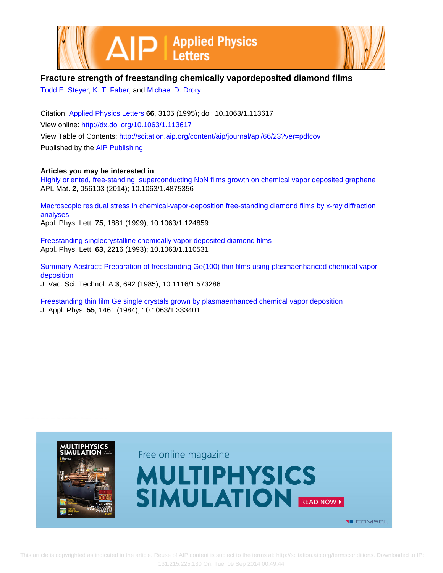



## **Fracture strength of freestanding chemically vapordeposited diamond films**

[Todd E. Steyer,](http://scitation.aip.org/search?value1=Todd+E.+Steyer&option1=author) [K. T. Faber](http://scitation.aip.org/search?value1=K.+T.+Faber&option1=author), and [Michael D. Drory](http://scitation.aip.org/search?value1=Michael+D.+Drory&option1=author)

Citation: [Applied Physics Letters](http://scitation.aip.org/content/aip/journal/apl?ver=pdfcov) **66**, 3105 (1995); doi: 10.1063/1.113617 View online: <http://dx.doi.org/10.1063/1.113617> View Table of Contents: <http://scitation.aip.org/content/aip/journal/apl/66/23?ver=pdfcov> Published by the [AIP Publishing](http://scitation.aip.org/content/aip?ver=pdfcov)

## **Articles you may be interested in**

[Highly oriented, free-standing, superconducting NbN films growth on chemical vapor deposited graphene](http://scitation.aip.org/content/aip/journal/aplmater/2/5/10.1063/1.4875356?ver=pdfcov) APL Mat. **2**, 056103 (2014); 10.1063/1.4875356

[Macroscopic residual stress in chemical-vapor-deposition free-standing diamond films by x-ray diffraction](http://scitation.aip.org/content/aip/journal/apl/75/13/10.1063/1.124859?ver=pdfcov) [analyses](http://scitation.aip.org/content/aip/journal/apl/75/13/10.1063/1.124859?ver=pdfcov) Appl. Phys. Lett. **75**, 1881 (1999); 10.1063/1.124859

[Freestanding singlecrystalline chemically vapor deposited diamond films](http://scitation.aip.org/content/aip/journal/apl/63/16/10.1063/1.110531?ver=pdfcov) Appl. Phys. Lett. **63**, 2216 (1993); 10.1063/1.110531

[Summary Abstract: Preparation of freestanding Ge\(100\) thin films using plasmaenhanced chemical vapor](http://scitation.aip.org/content/avs/journal/jvsta/3/3/10.1116/1.573286?ver=pdfcov) [deposition](http://scitation.aip.org/content/avs/journal/jvsta/3/3/10.1116/1.573286?ver=pdfcov) J. Vac. Sci. Technol. A **3**, 692 (1985); 10.1116/1.573286

[Freestanding thin film Ge single crystals grown by plasmaenhanced chemical vapor deposition](http://scitation.aip.org/content/aip/journal/jap/55/6/10.1063/1.333401?ver=pdfcov) J. Appl. Phys. **55**, 1461 (1984); 10.1063/1.333401

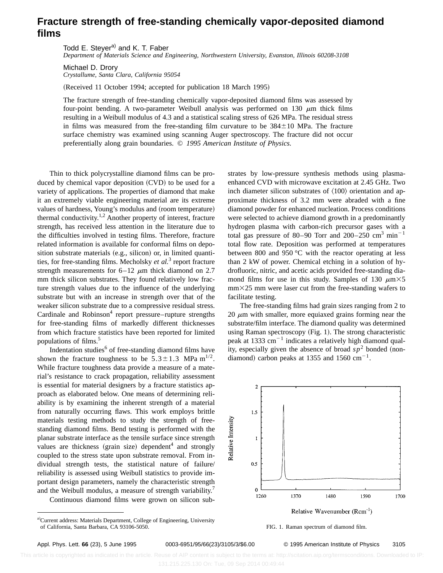## **Fracture strength of free-standing chemically vapor-deposited diamond films**

Todd E. Steyer<sup>a)</sup> and K. T. Faber *Department of Materials Science and Engineering, Northwestern University, Evanston, Illinois 60208-3108*

Michael D. Drory *Crystallume, Santa Clara, California 95054*

(Received 11 October 1994; accepted for publication 18 March 1995)

The fracture strength of free-standing chemically vapor-deposited diamond films was assessed by four-point bending. A two-parameter Weibull analysis was performed on 130  $\mu$ m thick films resulting in a Weibull modulus of 4.3 and a statistical scaling stress of 626 MPa. The residual stress in films was measured from the free-standing film curvature to be  $384\pm10$  MPa. The fracture surface chemistry was examined using scanning Auger spectroscopy. The fracture did not occur preferentially along grain boundaries. © *1995 American Institute of Physics.*

Thin to thick polycrystalline diamond films can be produced by chemical vapor deposition (CVD) to be used for a variety of applications. The properties of diamond that make it an extremely viable engineering material are its extreme values of hardness, Young's modulus and (room temperature) thermal conductivity.<sup>1,2</sup> Another property of interest, fracture strength, has received less attention in the literature due to the difficulties involved in testing films. Therefore, fracture related information is available for conformal films on deposition substrate materials (e.g., silicon) or, in limited quantities, for free-standing films. Mecholsky *et al.*<sup>3</sup> report fracture strength measurements for  $6-12 \mu m$  thick diamond on 2.7 mm thick silicon substrates. They found relatively low fracture strength values due to the influence of the underlying substrate but with an increase in strength over that of the weaker silicon substrate due to a compressive residual stress. Cardinale and Robinson<sup>4</sup> report pressure–rupture strengths for free-standing films of markedly different thicknesses from which fracture statistics have been reported for limited populations of films.<sup>5</sup>

Indentation studies $6$  of free-standing diamond films have shown the fracture toughness to be  $5.3 \pm 1.3$  MPa m<sup>1/2</sup>. While fracture toughness data provide a measure of a material's resistance to crack propagation, reliability assessment is essential for material designers by a fracture statistics approach as elaborated below. One means of determining reliability is by examining the inherent strength of a material from naturally occurring flaws. This work employs brittle materials testing methods to study the strength of freestanding diamond films. Bend testing is performed with the planar substrate interface as the tensile surface since strength values are thickness (grain size) dependent<sup>4</sup> and strongly coupled to the stress state upon substrate removal. From individual strength tests, the statistical nature of failure/ reliability is assessed using Weibull statistics to provide important design parameters, namely the characteristic strength and the Weibull modulus, a measure of strength variability.<sup>7</sup> Continuous diamond films were grown on silicon sub-

a)Current address: Materials Department, College of Engineering, University of California, Santa Barbara, CA 93106-5050. FIG. 1. Raman spectrum of diamond film.

strates by low-pressure synthesis methods using plasmaenhanced CVD with microwave excitation at 2.45 GHz. Two inch diameter silicon substrates of  $\langle 100 \rangle$  orientation and approximate thickness of 3.2 mm were abraded with a fine diamond powder for enhanced nucleation. Process conditions were selected to achieve diamond growth in a predominantly hydrogen plasma with carbon-rich precursor gases with a total gas pressure of 80–90 Torr and 200–250  $\text{cm}^3 \text{ min}^{-1}$ total flow rate. Deposition was performed at temperatures between 800 and 950 °C with the reactor operating at less than 2 kW of power. Chemical etching in a solution of hydrofluoric, nitric, and acetic acids provided free-standing diamond films for use in this study. Samples of 130  $\mu$ m $\times$ 5  $mm\times25$  mm were laser cut from the free-standing wafers to facilitate testing.

The free-standing films had grain sizes ranging from 2 to 20  $\mu$ m with smaller, more equiaxed grains forming near the substrate/film interface. The diamond quality was determined using Raman spectroscopy  $(Fig. 1)$ . The strong characteristic peak at 1333  $\text{cm}^{-1}$  indicates a relatively high diamond quality, especially given the absence of broad  $sp<sup>2</sup>$  bonded (nondiamond) carbon peaks at 1355 and 1560  $\text{cm}^{-1}$ .





Appl. Phys. Lett. **66** (23), 5 June 1995 0003-6951/95/66(23)/3105/3/\$6.00 © 1995 American Institute of Physics 3105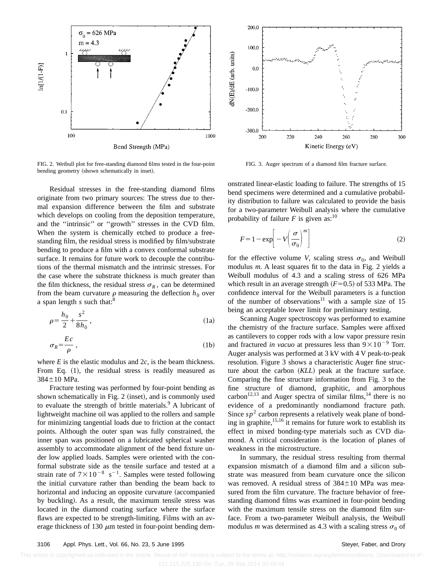

FIG. 2. Weibull plot for free-standing diamond films tested in the four-point bending geometry (shown schematically in inset).

Residual stresses in the free-standing diamond films originate from two primary sources: The stress due to thermal expansion difference between the film and substrate which develops on cooling from the deposition temperature, and the ''intrinsic'' or ''growth'' stresses in the CVD film. When the system is chemically etched to produce a freestanding film, the residual stress is modified by film/substrate bending to produce a film with a convex conformal substrate surface. It remains for future work to decouple the contributions of the thermal mismatch and the intrinsic stresses. For the case where the substrate thickness is much greater than the film thickness, the residual stress  $\sigma_R$ , can be determined from the beam curvature  $\rho$  measuring the deflection  $h_0$  over a span length  $s$  such that:<sup>8</sup>

$$
\rho = \frac{h_0}{2} + \frac{s^2}{8h_0} \,,\tag{1a}
$$

$$
\sigma_R = \frac{Ec}{\rho} \,,\tag{1b}
$$

where  $E$  is the elastic modulus and  $2c$ , is the beam thickness. From Eq.  $(1)$ , the residual stress is readily measured as  $384 \pm 10$  MPa.

Fracture testing was performed by four-point bending as shown schematically in Fig.  $2$  (inset), and is commonly used to evaluate the strength of brittle materials. $9$  A lubricant of lightweight machine oil was applied to the rollers and sample for minimizing tangential loads due to friction at the contact points. Although the outer span was fully constrained, the inner span was positioned on a lubricated spherical washer assembly to accommodate alignment of the bend fixture under low applied loads. Samples were oriented with the conformal substrate side as the tensile surface and tested at a strain rate of  $7 \times 10^{-8}$  s<sup>-1</sup>. Samples were tested following the initial curvature rather than bending the beam back to horizontal and inducing an opposite curvature (accompanied by buckling). As a result, the maximum tensile stress was located in the diamond coating surface where the surface flaws are expected to be strength-limiting. Films with an average thickness of 130  $\mu$ m tested in four-point bending dem-



FIG. 3. Auger spectrum of a diamond film fracture surface.

onstrated linear-elastic loading to failure. The strengths of 15 bend specimens were determined and a cumulative probability distribution to failure was calculated to provide the basis for a two-parameter Weibull analysis where the cumulative probability of failure  $F$  is given as:<sup>10</sup>

$$
F = 1 - \exp\left[-V\left(\frac{\sigma}{\sigma_0}\right)^m\right]
$$
 (2)

for the effective volume *V*, scaling stress  $\sigma_0$ , and Weibull modulus *m*. A least squares fit to the data in Fig. 2 yields a Weibull modulus of 4.3 and a scaling stress of 626 MPa which result in an average strength  $(F=0.5)$  of 533 MPa. The confidence interval for the Weibull parameters is a function of the number of observations<sup>11</sup> with a sample size of 15 being an acceptable lower limit for preliminary testing.

Scanning Auger spectroscopy was performed to examine the chemistry of the fracture surface. Samples were affixed as cantilevers to copper rods with a low vapor pressure resin and fractured *in vacuo* at pressures less than  $9 \times 10^{-9}$  Torr. Auger analysis was performed at 3 kV with 4 V peak-to-peak resolution. Figure 3 shows a characteristic Auger fine structure about the carbon (*KLL*) peak at the fracture surface. Comparing the fine structure information from Fig. 3 to the fine structure of diamond, graphitic, and amorphous carbon<sup>12,13</sup> and Auger spectra of similar films,<sup>14</sup> there is no evidence of a predominantly nondiamond fracture path. Since  $sp^2$  carbon represents a relatively weak plane of bonding in graphite, $15,16$  it remains for future work to establish its effect in mixed bonding-type materials such as CVD diamond. A critical consideration is the location of planes of weakness in the microstructure.

In summary, the residual stress resulting from thermal expansion mismatch of a diamond film and a silicon substrate was measured from beam curvature once the silicon was removed. A residual stress of  $384\pm10$  MPa was measured from the film curvature. The fracture behavior of freestanding diamond films was examined in four-point bending with the maximum tensile stress on the diamond film surface. From a two-parameter Weibull analysis, the Weibull modulus *m* was determined as 4.3 with a scaling stress  $\sigma_0$  of

This article is copyrighted as indicated in the article. Reuse of AIP content is subject to the terms at: http://scitation.aip.org/termsconditions. Downloaded to IP: 131.215.225.130 On: Tue, 09 Sep 2014 00:49:44